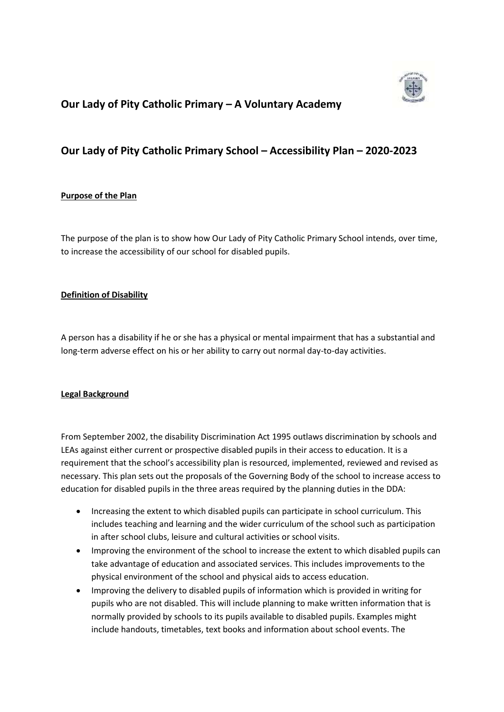

# **Our Lady of Pity Catholic Primary – A Voluntary Academy**

# **Our Lady of Pity Catholic Primary School – Accessibility Plan – 2020-2023**

### **Purpose of the Plan**

The purpose of the plan is to show how Our Lady of Pity Catholic Primary School intends, over time, to increase the accessibility of our school for disabled pupils.

### **Definition of Disability**

A person has a disability if he or she has a physical or mental impairment that has a substantial and long-term adverse effect on his or her ability to carry out normal day-to-day activities.

#### **Legal Background**

From September 2002, the disability Discrimination Act 1995 outlaws discrimination by schools and LEAs against either current or prospective disabled pupils in their access to education. It is a requirement that the school's accessibility plan is resourced, implemented, reviewed and revised as necessary. This plan sets out the proposals of the Governing Body of the school to increase access to education for disabled pupils in the three areas required by the planning duties in the DDA:

- Increasing the extent to which disabled pupils can participate in school curriculum. This includes teaching and learning and the wider curriculum of the school such as participation in after school clubs, leisure and cultural activities or school visits.
- Improving the environment of the school to increase the extent to which disabled pupils can take advantage of education and associated services. This includes improvements to the physical environment of the school and physical aids to access education.
- Improving the delivery to disabled pupils of information which is provided in writing for pupils who are not disabled. This will include planning to make written information that is normally provided by schools to its pupils available to disabled pupils. Examples might include handouts, timetables, text books and information about school events. The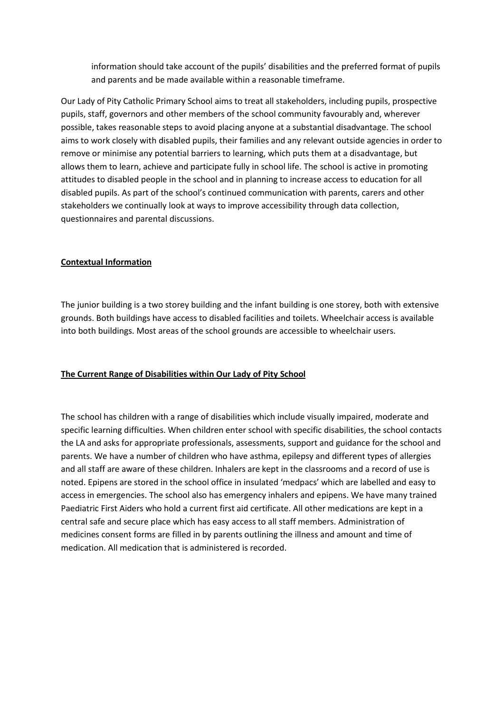information should take account of the pupils' disabilities and the preferred format of pupils and parents and be made available within a reasonable timeframe.

Our Lady of Pity Catholic Primary School aims to treat all stakeholders, including pupils, prospective pupils, staff, governors and other members of the school community favourably and, wherever possible, takes reasonable steps to avoid placing anyone at a substantial disadvantage. The school aims to work closely with disabled pupils, their families and any relevant outside agencies in order to remove or minimise any potential barriers to learning, which puts them at a disadvantage, but allows them to learn, achieve and participate fully in school life. The school is active in promoting attitudes to disabled people in the school and in planning to increase access to education for all disabled pupils. As part of the school's continued communication with parents, carers and other stakeholders we continually look at ways to improve accessibility through data collection, questionnaires and parental discussions.

## **Contextual Information**

The junior building is a two storey building and the infant building is one storey, both with extensive grounds. Both buildings have access to disabled facilities and toilets. Wheelchair access is available into both buildings. Most areas of the school grounds are accessible to wheelchair users.

#### **The Current Range of Disabilities within Our Lady of Pity School**

The school has children with a range of disabilities which include visually impaired, moderate and specific learning difficulties. When children enter school with specific disabilities, the school contacts the LA and asks for appropriate professionals, assessments, support and guidance for the school and parents. We have a number of children who have asthma, epilepsy and different types of allergies and all staff are aware of these children. Inhalers are kept in the classrooms and a record of use is noted. Epipens are stored in the school office in insulated 'medpacs' which are labelled and easy to access in emergencies. The school also has emergency inhalers and epipens. We have many trained Paediatric First Aiders who hold a current first aid certificate. All other medications are kept in a central safe and secure place which has easy access to all staff members. Administration of medicines consent forms are filled in by parents outlining the illness and amount and time of medication. All medication that is administered is recorded.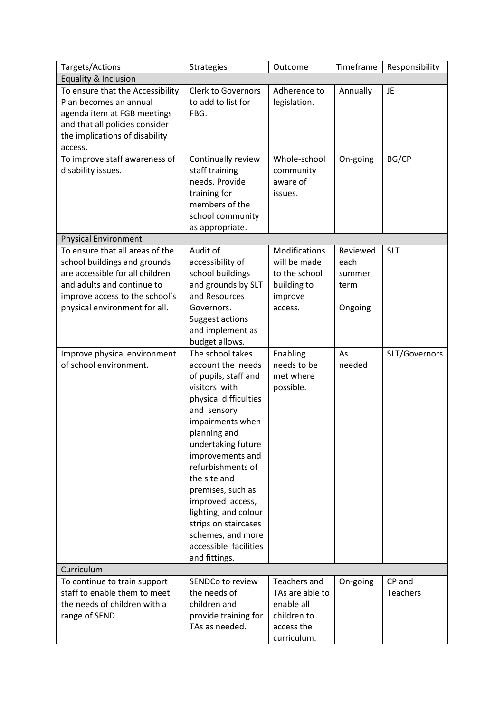| Targets/Actions                                                                                                                                                                                     | <b>Strategies</b>                                                                                                                                                                                                                                                                                                                                                                                 | Outcome                                                                                   | Timeframe                                     | Responsibility            |  |  |
|-----------------------------------------------------------------------------------------------------------------------------------------------------------------------------------------------------|---------------------------------------------------------------------------------------------------------------------------------------------------------------------------------------------------------------------------------------------------------------------------------------------------------------------------------------------------------------------------------------------------|-------------------------------------------------------------------------------------------|-----------------------------------------------|---------------------------|--|--|
| Equality & Inclusion                                                                                                                                                                                |                                                                                                                                                                                                                                                                                                                                                                                                   |                                                                                           |                                               |                           |  |  |
| To ensure that the Accessibility<br>Plan becomes an annual<br>agenda item at FGB meetings<br>and that all policies consider<br>the implications of disability<br>access.                            | <b>Clerk to Governors</b><br>to add to list for<br>FBG.                                                                                                                                                                                                                                                                                                                                           | Adherence to<br>legislation.                                                              | Annually                                      | <b>JE</b>                 |  |  |
| To improve staff awareness of<br>disability issues.                                                                                                                                                 | Continually review<br>staff training<br>needs. Provide<br>training for<br>members of the<br>school community<br>as appropriate.                                                                                                                                                                                                                                                                   | Whole-school<br>community<br>aware of<br>issues.                                          | On-going                                      | BG/CP                     |  |  |
| <b>Physical Environment</b>                                                                                                                                                                         |                                                                                                                                                                                                                                                                                                                                                                                                   |                                                                                           |                                               |                           |  |  |
| To ensure that all areas of the<br>school buildings and grounds<br>are accessible for all children<br>and adults and continue to<br>improve access to the school's<br>physical environment for all. | Audit of<br>accessibility of<br>school buildings<br>and grounds by SLT<br>and Resources<br>Governors.<br>Suggest actions<br>and implement as<br>budget allows.                                                                                                                                                                                                                                    | Modifications<br>will be made<br>to the school<br>building to<br>improve<br>access.       | Reviewed<br>each<br>summer<br>term<br>Ongoing | <b>SLT</b>                |  |  |
| Improve physical environment<br>of school environment.                                                                                                                                              | The school takes<br>account the needs<br>of pupils, staff and<br>visitors with<br>physical difficulties<br>and sensory<br>impairments when<br>planning and<br>undertaking future<br>improvements and<br>refurbishments of<br>the site and<br>premises, such as<br>improved access,<br>lighting, and colour<br>strips on staircases<br>schemes, and more<br>accessible facilities<br>and fittings. | Enabling<br>needs to be<br>met where<br>possible.                                         | As<br>needed                                  | SLT/Governors             |  |  |
| Curriculum                                                                                                                                                                                          |                                                                                                                                                                                                                                                                                                                                                                                                   |                                                                                           |                                               |                           |  |  |
| To continue to train support<br>staff to enable them to meet<br>the needs of children with a<br>range of SEND.                                                                                      | SENDCo to review<br>the needs of<br>children and<br>provide training for<br>TAs as needed.                                                                                                                                                                                                                                                                                                        | Teachers and<br>TAs are able to<br>enable all<br>children to<br>access the<br>curriculum. | On-going                                      | CP and<br><b>Teachers</b> |  |  |